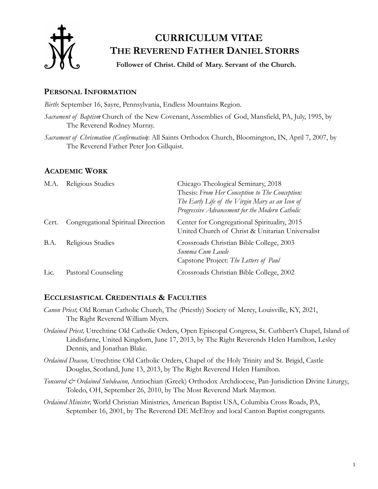

# **CURRICULUM VITAE THE REVEREND FATHER DANIEL STORRS**

**Follower of Christ. Child of Mary. Servant of the Church.**

# **PERSONAL INFORMATION**

*Birth*: September 16, Sayre, Pennsylvania, Endless Mountains Region.

Sacrament of Baptism: Church of the New Covenant, Assemblies of God, Mansfield, PA, July, 1995, by The Reverend Rodney Murray.

*Sacrament of Chrismation (Confirmation*): All Saints Orthodox Church, Bloomington, IN, April 7, 2007, by The Reverend Father Peter Jon Gillquist.

# **ACADEMIC WORK**

| M.A.  | Religious Studies                  | Chicago Theological Seminary, 2018<br>Thesis: From Her Conception to The Conception:<br>The Early Life of the Virgin Mary as an Icon of<br>Progressive Advancement for the Modern Catholic |
|-------|------------------------------------|--------------------------------------------------------------------------------------------------------------------------------------------------------------------------------------------|
| Cert. | Congregational Spiritual Direction | Center for Congregational Spirituality, 2015<br>United Church of Christ & Unitarian Universalist                                                                                           |
| B.A.  | Religious Studies                  | Crossroads Christian Bible College, 2003<br>Summa Cum Laude<br>Capstone Project: The Letters of Paul                                                                                       |
| Lic.  | Pastoral Counseling                | Crossroads Christian Bible College, 2002                                                                                                                                                   |

# **ECCLESIASTICAL CREDENTIALS & FACULTIES**

- *Canon Priest,* Old Roman Catholic Church, The (Priestly) Society of Mercy, Louisville, KY, 2021, The Right Reverend William Myers.
- *Ordained Priest,* Utrechtine Old Catholic Orders, Open Episcopal Congress, St. Cuthbert's Chapel, Island of Lindisfarne, United Kingdom, June 17, 2013, by The Right Reverends Helen Hamilton, Lesley Dennis, and Jonathan Blake.
- *Ordained Deacon,* Utrechtine Old Catholic Orders, Chapel of the Holy Trinity and St. Brigid, Castle Douglas, Scotland, June 13, 2013, by The Right Reverend Helen Hamilton.
- *Tonsured & Ordained Subdeacon,* Antiochian (Greek) Orthodox Archdiocese, Pan-Jurisdiction Divine Liturgy, Toledo, OH, September 26, 2010, by The Most Reverend Mark Maymon.
- *Ordained Minister,* World Christian Ministries, American Baptist USA, Columbia Cross Roads, PA, September 16, 2001, by The Reverend DE McElroy and local Canton Baptist congregants.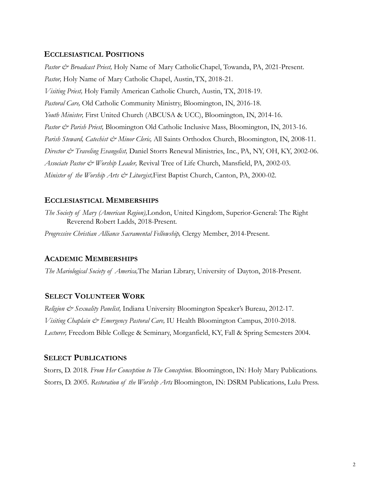## **ECCLESIASTICAL POSITIONS**

*Pastor & Broadcast Priest,* Holy Name of Mary CatholicChapel, Towanda, PA, 2021-Present. Pastor, Holy Name of Mary Catholic Chapel, Austin, TX, 2018-21. *Visiting Priest,* Holy Family American Catholic Church, Austin, TX, 2018-19. *Pastoral Care,* Old Catholic Community Ministry, Bloomington, IN, 2016-18. *Youth Minister,* First United Church (ABCUSA & UCC), Bloomington, IN, 2014-16. *Pastor & Parish Priest,* Bloomington Old Catholic Inclusive Mass, Bloomington, IN, 2013-16. *Parish Steward, Catechist & Minor Cleric,* All Saints Orthodox Church, Bloomington, IN, 2008-11. *Director & Traveling Evangelist,* Daniel Storrs Renewal Ministries, Inc., PA, NY, OH, KY, 2002-06. *Associate Pastor & Worship Leader,* Revival Tree of Life Church, Mansfield, PA, 2002-03. *Minister of the Worship Arts & Liturgist,*First Baptist Church, Canton, PA, 2000-02.

## **ECCLESIASTICAL MEMBERSHIPS**

*The Society of Mary (American Region),*London, United Kingdom, Superior-General: The Right Reverend Robert Ladds, 2018-Present*.*

*Progressive Christian Alliance Sacramental Fellowship,* Clergy Member, 2014-Present.

#### **ACADEMIC MEMBERSHIPS**

*The Mariological Society of America,*The Marian Library, University of Dayton, 2018-Present.

#### **SELECT VOLUNTEER WORK**

*Religion & Sexuality Panelist,* Indiana University Bloomington Speaker's Bureau, 2012-17. *Visiting Chaplain & Emergency Pastoral Care,* IU Health Bloomington Campus, 2010-2018. *Lecturer,* Freedom Bible College & Seminary, Morganfield, KY, Fall & Spring Semesters 2004.

#### **SELECT PUBLICATIONS**

Storrs, D. 2018. *From Her Conception to The Conception*. Bloomington, IN: Holy Mary Publications. Storrs, D. 2005. *Restoration of the Worship Arts*. Bloomington, IN: DSRM Publications, Lulu Press.